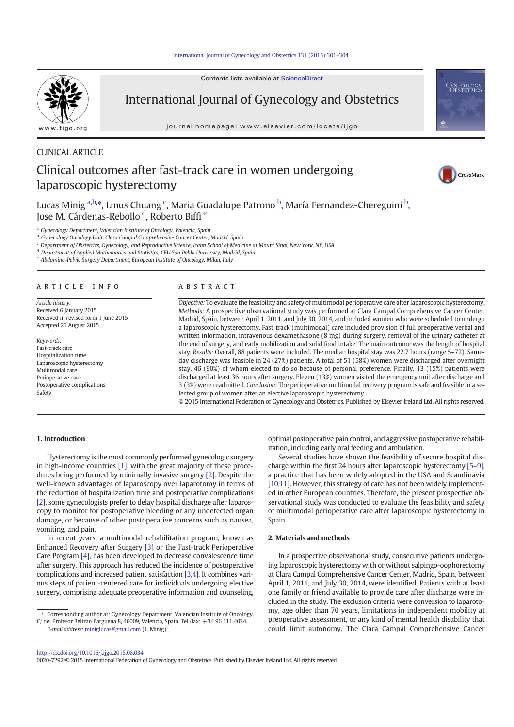# International Journal of Gynecology and Obstetrics 131 (2015) 301–304

Contents lists available at ScienceDirect



International Journal of Gynecology and Obstetrics

journal homepage: www.elsevier.com/locate/ijgo

# CLINICAL ARTICLE Clinical outcomes after fast-track care in women undergoing laparoscopic hysterectomy





Lucas Minig <sup>a,b,</sup>\*, Linus Chuang <sup>c</sup>, Maria Guadalupe Patrono <sup>b</sup>, María Fernandez-Chereguini <sup>b</sup>, Jose M. Cárdenas-Rebollo <sup>d</sup>, Roberto Biffi <sup>e</sup>

<sup>a</sup> Gynecology Department, Valencian Institute of Oncology, Valencia, Spain

<sup>b</sup> Gynecology Oncology Unit, Clara Campal Comprehensive Cancer Center, Madrid, Spain

<sup>c</sup> Department of Obstetrics, Gynecology, and Reproductive Science, Icahn School of Medicine at Mount Sinai, New York, NY, USA

<sup>d</sup> Department of Applied Mathematics and Statistics, CEU San Pablo University, Madrid, Spain

e Abdomino-Pelvic Surgery Department, European Institute of Oncology, Milan, Italy

# article info abstract

Article history: Received 6 January 2015 Received in revised form 1 June 2015 Accepted 26 August 2015

Keywords: Fast-track care Hospitalization time Laparoscopic hysterectomy Multimodal care Perioperative care Postoperative complications Safety

Objective: To evaluate the feasibility and safety of multimodal perioperative care after laparoscopic hysterectomy. Methods: A prospective observational study was performed at Clara Campal Comprehensive Cancer Center, Madrid, Spain, between April 1, 2011, and July 30, 2014, and included women who were scheduled to undergo a laparoscopic hysterectomy. Fast-track (multimodal) care included provision of full preoperative verbal and written information, intravenous dexamethasone (8 mg) during surgery, removal of the urinary catheter at the end of surgery, and early mobilization and solid food intake. The main outcome was the length of hospital stay. Results: Overall, 88 patients were included. The median hospital stay was 22.7 hours (range 5–72). Sameday discharge was feasible in 24 (27%) patients. A total of 51 (58%) women were discharged after overnight stay, 46 (90%) of whom elected to do so because of personal preference. Finally, 13 (15%) patients were discharged at least 36 hours after surgery. Eleven (13%) women visited the emergency unit after discharge and 3 (3%) were readmitted. Conclusion: The perioperative multimodal recovery program is safe and feasible in a selected group of women after an elective laparoscopic hysterectomy.

© 2015 International Federation of Gynecology and Obstetrics. Published by Elsevier Ireland Ltd. All rights reserved.

# 1. Introduction

Hysterectomy is the most commonly performed gynecologic surgery in high-income countries [1], with the great majority of these procedures being performed by minimally invasive surgery [2]. Despite the well-known advantages of laparoscopy over laparotomy in terms of the reduction of hospitalization time and postoperative complications [2], some gynecologists prefer to delay hospital discharge after laparoscopy to monitor for postoperative bleeding or any undetected organ damage, or because of other postoperative concerns such as nausea, vomiting, and pain.

In recent years, a multimodal rehabilitation program, known as Enhanced Recovery after Surgery [3] or the Fast-track Perioperative Care Program [4], has been developed to decrease convalescence time after surgery. This approach has reduced the incidence of postoperative complications and increased patient satisfaction [3,4]. It combines various steps of patient-centered care for individuals undergoing elective surgery, comprising adequate preoperative information and counseling,

E-mail address: miniglucas@gmail.com (L. Minig).

optimal postoperative pain control, and aggressive postoperative rehabilitation, including early oral feeding and ambulation.

Several studies have shown the feasibility of secure hospital discharge within the first 24 hours after laparoscopic hysterectomy [5–9], a practice that has been widely adopted in the USA and Scandinavia [10,11]. However, this strategy of care has not been widely implemented in other European countries. Therefore, the present prospective observational study was conducted to evaluate the feasibility and safety of multimodal perioperative care after laparoscopic hysterectomy in Spain.

# 2. Materials and methods

In a prospective observational study, consecutive patients undergoing laparoscopic hysterectomy with or without salpingo-oophorectomy at Clara Campal Comprehensive Cancer Center, Madrid, Spain, between April 1, 2011, and July 30, 2014, were identified. Patients with at least one family or friend available to provide care after discharge were included in the study. The exclusion criteria were conversion to laparotomy, age older than 70 years, limitations in independent mobility at preoperative assessment, or any kind of mental health disability that could limit autonomy. The Clara Campal Comprehensive Cancer

http://dx.doi.org/10.1016/j.ijgo.2015.06.034

0020-7292/© 2015 International Federation of Gynecology and Obstetrics. Published by Elsevier Ireland Ltd. All rights reserved.

<sup>⁎</sup> Corresponding author at: Gynecology Department, Valencian Institute of Oncology,  $C/del$  Profesor Beltran Barguena 8, 46009, Valencia, Spain. Tel./fax:  $+34$  96 111 4024.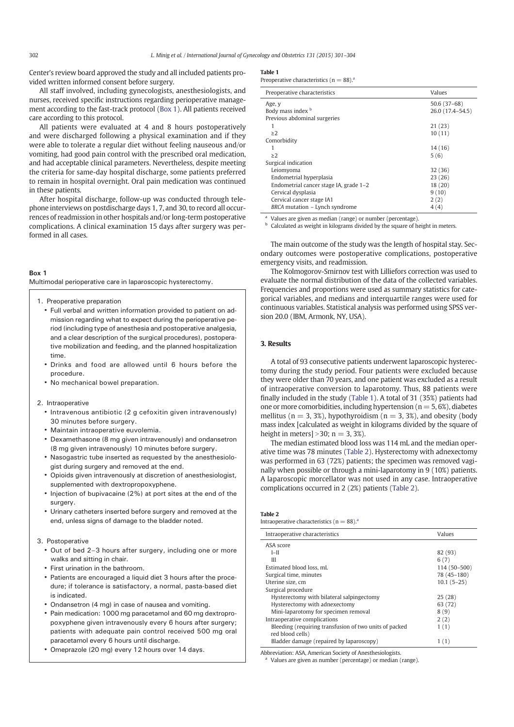Center's review board approved the study and all included patients provided written informed consent before surgery.

All staff involved, including gynecologists, anesthesiologists, and nurses, received specific instructions regarding perioperative management according to the fast-track protocol (Box 1). All patients received care according to this protocol.

All patients were evaluated at 4 and 8 hours postoperatively and were discharged following a physical examination and if they were able to tolerate a regular diet without feeling nauseous and/or vomiting, had good pain control with the prescribed oral medication, and had acceptable clinical parameters. Nevertheless, despite meeting the criteria for same-day hospital discharge, some patients preferred to remain in hospital overnight. Oral pain medication was continued in these patients.

After hospital discharge, follow-up was conducted through telephone interviews on postdischarge days 1, 7, and 30, to record all occurrences of readmission in other hospitals and/or long-term postoperative complications. A clinical examination 15 days after surgery was performed in all cases.

#### Box 1

Multimodal perioperative care in laparoscopic hysterectomy.

- 1. Preoperative preparation
	- Full verbal and written information provided to patient on admission regarding what to expect during the perioperative period (including type of anesthesia and postoperative analgesia, and a clear description of the surgical procedures), postoperative mobilization and feeding, and the planned hospitalization time.
	- Drinks and food are allowed until 6 hours before the procedure.
	- No mechanical bowel preparation.

#### 2. Intraoperative

- Intravenous antibiotic (2 g cefoxitin given intravenously) 30 minutes before surgery.
- Maintain intraoperative euvolemia.
- Dexamethasone (8 mg given intravenously) and ondansetron (8 mg given intravenously) 10 minutes before surgery.
- Nasogastric tube inserted as requested by the anesthesiologist during surgery and removed at the end.
- Opioids given intravenously at discretion of anesthesiologist, supplemented with dextropropoxyphene.
- Injection of bupivacaine (2%) at port sites at the end of the surgery.
- Urinary catheters inserted before surgery and removed at the end, unless signs of damage to the bladder noted.

# 3. Postoperative

- Out of bed 2–3 hours after surgery, including one or more walks and sitting in chair.
- First urination in the bathroom.
- Patients are encouraged a liquid diet 3 hours after the procedure; if tolerance is satisfactory, a normal, pasta-based diet is indicated.
- Ondansetron (4 mg) in case of nausea and vomiting.
- Pain medication: 1000 mg paracetamol and 60 mg dextropropoxyphene given intravenously every 6 hours after surgery; patients with adequate pain control received 500 mg oral paracetamol every 6 hours until discharge.
- Omeprazole (20 mg) every 12 hours over 14 days.

## Table 1

Preoperative characteristics ( $n = 88$ ).<sup>a</sup>

| Preoperative characteristics           | Values           |
|----------------------------------------|------------------|
| Age, y                                 | $50.6(37-68)$    |
| Body mass index <b>b</b>               | 26.0 (17.4-54.5) |
| Previous abdominal surgeries           |                  |
| ı                                      | 21(23)           |
| $\geq$ 2                               | 10(11)           |
| Comorbidity                            |                  |
| 1                                      | 14 (16)          |
| $\geq$ 2                               | 5(6)             |
| Surgical indication                    |                  |
| Leiomyoma                              | 32(36)           |
| Endometrial hyperplasia                | 23(26)           |
| Endometrial cancer stage IA, grade 1-2 | 18(20)           |
| Cervical dysplasia                     | 9(10)            |
| Cervical cancer stage IA1              | 2(2)             |
| BRCA mutation – Lynch syndrome         | 4(4)             |

<sup>a</sup> Values are given as median (range) or number (percentage).

**b** Calculated as weight in kilograms divided by the square of height in meters.

The main outcome of the study was the length of hospital stay. Secondary outcomes were postoperative complications, postoperative emergency visits, and readmission.

The Kolmogorov-Smirnov test with Lilliefors correction was used to evaluate the normal distribution of the data of the collected variables. Frequencies and proportions were used as summary statistics for categorical variables, and medians and interquartile ranges were used for continuous variables. Statistical analysis was performed using SPSS version 20.0 (IBM, Armonk, NY, USA).

# 3. Results

A total of 93 consecutive patients underwent laparoscopic hysterectomy during the study period. Four patients were excluded because they were older than 70 years, and one patient was excluded as a result of intraoperative conversion to laparotomy. Thus, 88 patients were finally included in the study (Table 1). A total of 31 (35%) patients had one or more comorbidities, including hypertension ( $n = 5, 6\%$ ), diabetes mellitus ( $n = 3, 3\%$ ), hypothyroidism ( $n = 3, 3\%$ ), and obesity (body mass index [calculated as weight in kilograms divided by the square of height in meters $\vert > 30$ ; n = 3, 3%).

The median estimated blood loss was 114 mL and the median operative time was 78 minutes (Table 2). Hysterectomy with adnexectomy was performed in 63 (72%) patients; the specimen was removed vaginally when possible or through a mini-laparotomy in 9 (10%) patients. A laparoscopic morcellator was not used in any case. Intraoperative complications occurred in 2 (2%) patients (Table 2).

#### Table 2

Intraoperative characteristics ( $n = 88$ ).<sup>a</sup>

| Intraoperative characteristics                                             | Values       |
|----------------------------------------------------------------------------|--------------|
| ASA score                                                                  |              |
| $I-II$                                                                     | 82 (93)      |
| III                                                                        | 6(7)         |
| Estimated blood loss, mL                                                   | 114 (50-500) |
| Surgical time, minutes                                                     | 78 (45-180)  |
| Uterine size, cm                                                           | $10.1(5-25)$ |
| Surgical procedure                                                         |              |
| Hysterectomy with bilateral salpingectomy                                  | 25(28)       |
| Hysterectomy with adnexectomy                                              | 63 (72)      |
| Mini-laparotomy for specimen removal                                       | 8(9)         |
| Intraoperative complications                                               | 2(2)         |
| Bleeding (requiring transfusion of two units of packed<br>red blood cells) | 1(1)         |
| Bladder damage (repaired by laparoscopy)                                   | 1(1)         |

Abbreviation: ASA, American Society of Anesthesiologists.

Values are given as number (percentage) or median (range).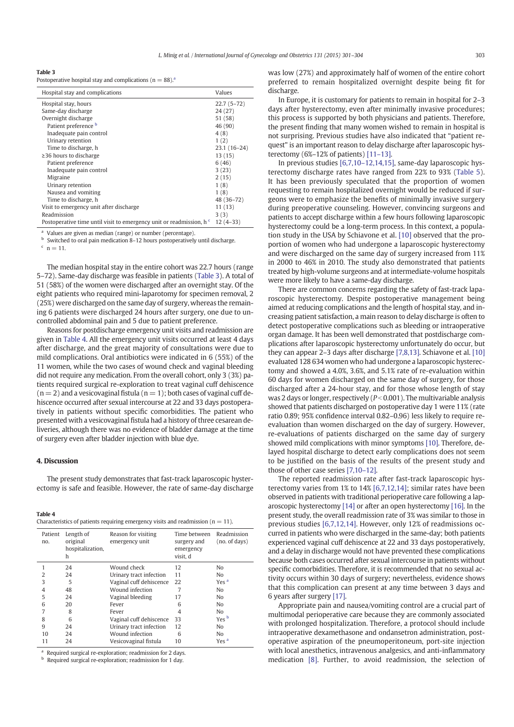| Table 3 |  |
|---------|--|
|---------|--|

| Hospital stay and complications                                                 | Values        |
|---------------------------------------------------------------------------------|---------------|
| Hospital stay, hours                                                            | $22.7(5-72)$  |
| Same-day discharge                                                              | 24 (27)       |
| Overnight discharge                                                             | 51 (58)       |
| Patient preference b                                                            | 46 (90)       |
| Inadequate pain control                                                         | 4(8)          |
| Urinary retention                                                               | 1(2)          |
| Time to discharge, h                                                            | $23.1(16-24)$ |
| $\geq$ 36 hours to discharge                                                    | 13(15)        |
| Patient preference                                                              | 6(46)         |
| Inadequate pain control                                                         | 3(23)         |
| Migraine                                                                        | 2(15)         |
| Urinary retention                                                               | 1(8)          |
| Nausea and vomiting                                                             | 1(8)          |
| Time to discharge, h                                                            | 48 (36-72)    |
| Visit to emergency unit after discharge                                         | 11(13)        |
| Readmission                                                                     | 3(3)          |
| Postoperative time until visit to emergency unit or readmission, h <sup>c</sup> | $12(4-33)$    |

<sup>a</sup> Values are given as median (range) or number (percentage).

Switched to oral pain medication 8–12 hours postoperatively until discharge.

The median hospital stay in the entire cohort was 22.7 hours (range 5–72). Same-day discharge was feasible in patients (Table 3). A total of 51 (58%) of the women were discharged after an overnight stay. Of the eight patients who required mini-laparotomy for specimen removal, 2 (25%) were discharged on the same day of surgery, whereas the remaining 6 patients were discharged 24 hours after surgery, one due to uncontrolled abdominal pain and 5 due to patient preference.

Reasons for postdischarge emergency unit visits and readmission are given in Table 4. All the emergency unit visits occurred at least 4 days after discharge, and the great majority of consultations were due to mild complications. Oral antibiotics were indicated in 6 (55%) of the 11 women, while the two cases of wound check and vaginal bleeding did not require any medication. From the overall cohort, only 3 (3%) patients required surgical re-exploration to treat vaginal cuff dehiscence  $(n= 2)$  and a vesicovaginal fistula  $(n= 1)$ ; both cases of vaginal cuff dehiscence occurred after sexual intercourse at 22 and 33 days postoperatively in patients without specific comorbidities. The patient who presented with a vesicovaginal fistula had a history of three cesarean deliveries, although there was no evidence of bladder damage at the time of surgery even after bladder injection with blue dye.

# 4. Discussion

The present study demonstrates that fast-track laparoscopic hysterectomy is safe and feasible. However, the rate of same-day discharge

#### Table 4

|  |  | Characteristics of patients requiring emergency visits and readmission ( $n = 11$ ). |  |  |  |
|--|--|--------------------------------------------------------------------------------------|--|--|--|
|--|--|--------------------------------------------------------------------------------------|--|--|--|

| Patient<br>no. | Length of<br>original<br>hospitalization,<br>h | Reason for visiting<br>emergency unit | Time between<br>surgery and<br>emergency<br>visit, d | Readmission<br>(no. of days) |
|----------------|------------------------------------------------|---------------------------------------|------------------------------------------------------|------------------------------|
|                | 24                                             | Wound check                           | 12                                                   | No                           |
| 2              | 24                                             | Urinary tract infection               | 11                                                   | N <sub>o</sub>               |
| 3              | 5                                              | Vaginal cuff dehiscence               | 22                                                   | Yes <sup>a</sup>             |
| $\overline{4}$ | 48                                             | Wound infection                       |                                                      | N <sub>o</sub>               |
| 5              | 24                                             | Vaginal bleeding                      | 17                                                   | N <sub>0</sub>               |
| 6              | 20                                             | Fever                                 | 6                                                    | N <sub>o</sub>               |
| 7              | 8                                              | Fever                                 | 4                                                    | N <sub>o</sub>               |
| 8              | 6                                              | Vaginal cuff dehiscence               | 33                                                   | Yes <sup>b</sup>             |
| 9              | 24                                             | Urinary tract infection               | 12                                                   | N <sub>o</sub>               |
| 10             | 24                                             | Wound infection                       | 6                                                    | No                           |
| 11             | 24                                             | Vesicovaginal fistula                 | 10                                                   | Yes <sup>a</sup>             |

Required surgical re-exploration; readmission for 2 days.

<sup>b</sup> Required surgical re-exploration; readmission for 1 day.

In Europe, it is customary for patients to remain in hospital for 2–3 days after hysterectomy, even after minimally invasive procedures; this process is supported by both physicians and patients. Therefore, the present finding that many women wished to remain in hospital is not surprising. Previous studies have also indicated that "patient request" is an important reason to delay discharge after laparoscopic hysterectomy (6%–12% of patients) [11–13].

In previous studies [6,7,10–12,14,15], same-day laparoscopic hysterectomy discharge rates have ranged from 22% to 93% (Table 5). It has been previously speculated that the proportion of women requesting to remain hospitalized overnight would be reduced if surgeons were to emphasize the benefits of minimally invasive surgery during preoperative counseling. However, convincing surgeons and patients to accept discharge within a few hours following laparoscopic hysterectomy could be a long-term process. In this context, a population study in the USA by Schiavone et al. [10] observed that the proportion of women who had undergone a laparoscopic hysterectomy and were discharged on the same day of surgery increased from 11% in 2000 to 46% in 2010. The study also demonstrated that patients treated by high-volume surgeons and at intermediate-volume hospitals were more likely to have a same-day discharge.

There are common concerns regarding the safety of fast-track laparoscopic hysterectomy. Despite postoperative management being aimed at reducing complications and the length of hospital stay, and increasing patient satisfaction, a main reason to delay discharge is often to detect postoperative complications such as bleeding or intraoperative organ damage. It has been well demonstrated that postdischarge complications after laparoscopic hysterectomy unfortunately do occur, but they can appear 2–3 days after discharge [7,8,13]. Schiavone et al. [10] evaluated 128 634 women who had undergone a laparoscopic hysterectomy and showed a 4.0%, 3.6%, and 5.1% rate of re-evaluation within 60 days for women discharged on the same day of surgery, for those discharged after a 24-hour stay, and for those whose length of stay was 2 days or longer, respectively ( $P < 0.001$ ). The multivariable analysis showed that patients discharged on postoperative day 1 were 11% (rate ratio 0.89; 95% confidence interval 0.82–0.96) less likely to require reevaluation than women discharged on the day of surgery. However, re-evaluations of patients discharged on the same day of surgery showed mild complications with minor symptoms [10]. Therefore, delayed hospital discharge to detect early complications does not seem to be justified on the basis of the results of the present study and those of other case series [7,10–12].

The reported readmission rate after fast-track laparoscopic hysterectomy varies from 1% to 14% [6,7,12,14]; similar rates have been observed in patients with traditional perioperative care following a laparoscopic hysterectomy [14] or after an open hysterectomy [16]. In the present study, the overall readmission rate of 3% was similar to those in previous studies [6,7,12,14]. However, only 12% of readmissions occurred in patients who were discharged in the same-day; both patients experienced vaginal cuff dehiscence at 22 and 33 days postoperatively, and a delay in discharge would not have prevented these complications because both cases occurred after sexual intercourse in patients without specific comorbidities. Therefore, it is recommended that no sexual activity occurs within 30 days of surgery; nevertheless, evidence shows that this complication can present at any time between 3 days and 6 years after surgery [17].

Appropriate pain and nausea/vomiting control are a crucial part of multimodal perioperative care because they are commonly associated with prolonged hospitalization. Therefore, a protocol should include intraoperative dexamethasone and ondansetron administration, postoperative aspiration of the pneumoperitoneum, port-site injection with local anesthetics, intravenous analgesics, and anti-inflammatory medication [8]. Further, to avoid readmission, the selection of

 $c \, n = 11.$